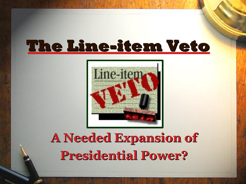### **The Lineitem Veto**



#### **A Needed Expansion of Presidential Power?**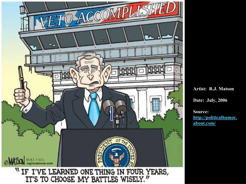

**Artist: R.J. Matson** 

**Date: July, 2006** 

**Source: [http://politicalhumor.](http://politicalhumor.about.com/) about.com/**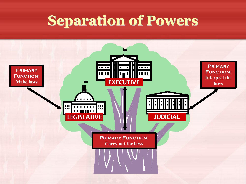#### **Separation of Powers**

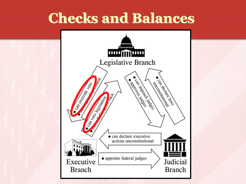#### **Checks and Balances**

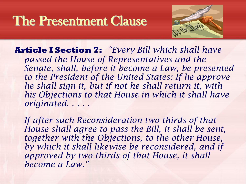#### The Presentment Clause



**Article I Section 7:** *"Every Bill which shall have passed the House of Representatives and the Senate, shall, before it become a Law, be presented to the President of the United States: If he approve he shall sign it, but if not he shall return it, with his Objections to that House in which it shall have originated. . . . .*

*If after such Reconsideration two thirds of that House shall agree to pass the Bill, it shall be sent, together with the Objections, to the other House, by which it shall likewise be reconsidered, and if approved by two thirds of that House, it shall become a Law."*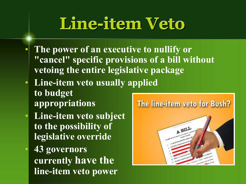## **Line-item Veto**

- **The power of an executive to nullify or "cancel" specific provisions of a bill without vetoing the entire legislative package**
- Line-item veto usually applied **to budget appropriations**
- Line-item veto subject **to the possibility of legislative override**
	- **43 governors currently have the line-item veto power**

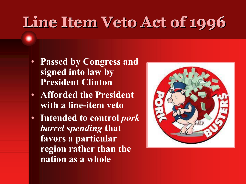# **Line Item Veto Act of 1996**

- **Passed by Congress and signed into law by President Clinton**
- **Afforded the President with a line-item veto**
- **Intended to control** *pork barrel spending* **that favors a particular region rather than the nation as a whole**

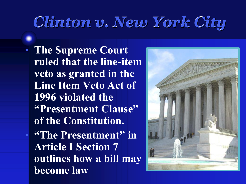## *Clinton v. New York City*

• **The Supreme Court ruled that the line-item veto as granted in the Line Item Veto Act of 1996 violated the "Presentment Clause" of the Constitution.** • **"The Presentment" in Article I Section 7 outlines how a bill may become law**

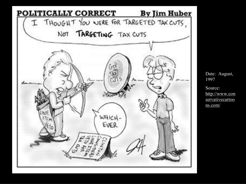

Date: August, 1997 Source: http://www.con [servativecartoo](http://www.conservativecartoons.com/)  ns.com/